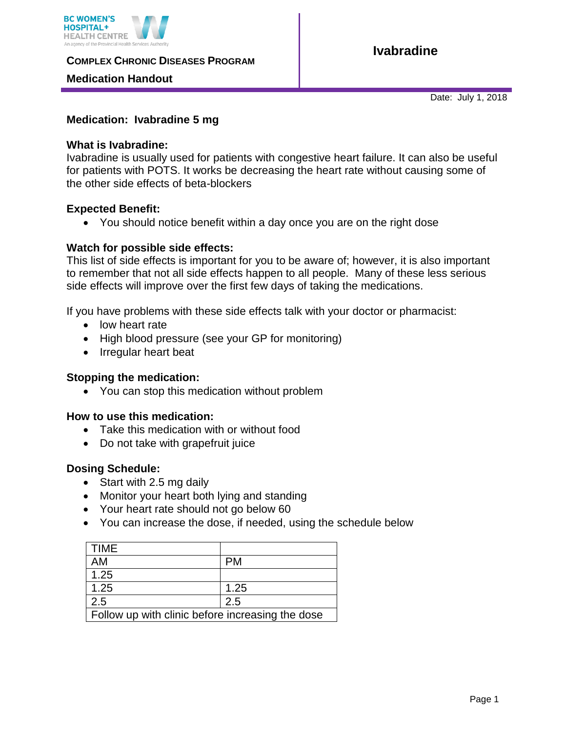

**COMPLEX CHRONIC DISEASES PROGRAM** 

# **Medication Handout**

**Ivabradine**

Date: July 1, 2018

### **Medication: Ivabradine 5 mg**

#### **What is Ivabradine:**

Ivabradine is usually used for patients with congestive heart failure. It can also be useful for patients with POTS. It works be decreasing the heart rate without causing some of the other side effects of beta-blockers

#### **Expected Benefit:**

You should notice benefit within a day once you are on the right dose

#### **Watch for possible side effects:**

This list of side effects is important for you to be aware of; however, it is also important to remember that not all side effects happen to all people. Many of these less serious side effects will improve over the first few days of taking the medications.

If you have problems with these side effects talk with your doctor or pharmacist:

- low heart rate
- High blood pressure (see your GP for monitoring)
- Irregular heart beat

#### **Stopping the medication:**

You can stop this medication without problem

#### **How to use this medication:**

- Take this medication with or without food
- Do not take with grapefruit juice

#### **Dosing Schedule:**

- Start with 2.5 mg daily
- Monitor your heart both lying and standing
- Your heart rate should not go below 60
- You can increase the dose, if needed, using the schedule below

| <b>TIME</b>                                      |           |
|--------------------------------------------------|-----------|
| AM                                               | <b>PM</b> |
| 1.25                                             |           |
| 1.25                                             | 1.25      |
| 2.5                                              | 2.5       |
| Follow up with clinic before increasing the dose |           |